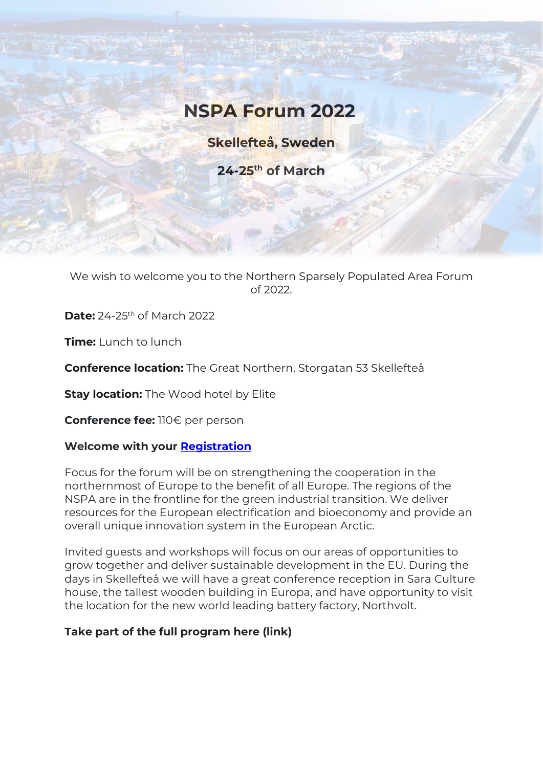# **NSPA Forum 2022**

**Skellefteå, Sweden**

**24-25th of March**

We wish to welcome you to the Northern Sparsely Populated Area Forum of 2022.

**Date:** 24-25th of March 2022

**Time:** Lunch to lunch

**Conference location:** The Great Northern, Storgatan 53 Skellefteå

**Stay location:** The Wood hotel by Elite

**Conference fee:** 110€ per person

# **Welcome with your [Registration](https://docs.google.com/forms/d/1D9JDeragIKag9K0gOJEE9inymOyFT_j_aE1EGXI-iD8/edit?ts=61ea8c3b)**

Focus for the forum will be on strengthening the cooperation in the northernmost of Europe to the benefit of all Europe. The regions of the NSPA are in the frontline for the green industrial transition. We deliver resources for the European electrification and bioeconomy and provide an overall unique innovation system in the European Arctic.

Invited guests and workshops will focus on our areas of opportunities to grow together and deliver sustainable development in the EU. During the days in Skellefteå we will have a great conference reception in Sara Culture house, the tallest wooden building in Europa, and have opportunity to visit the location for the new world leading battery factory, Northvolt.

# **Take part of the full program here (link)**